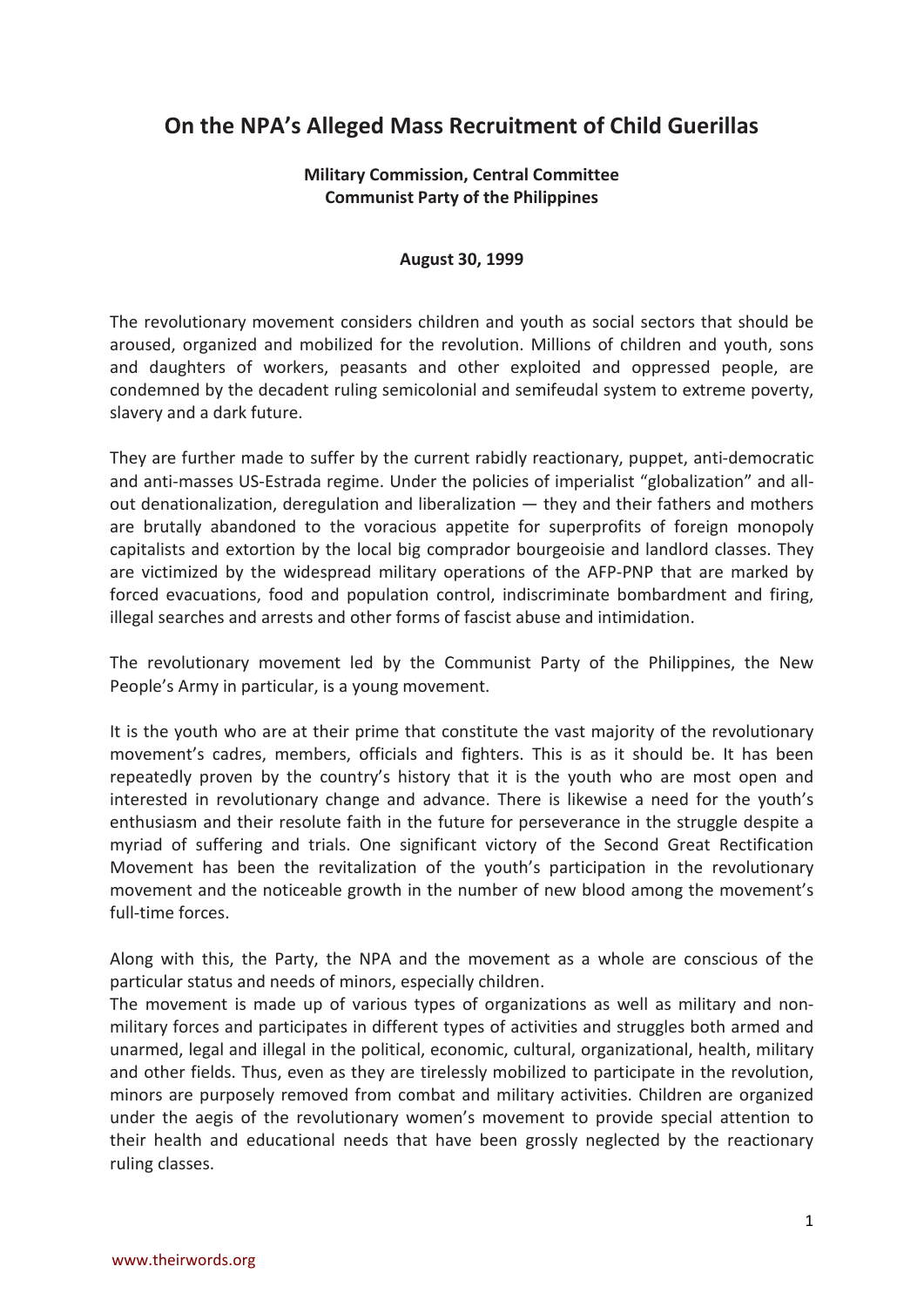## **On the NPA's Alleged Mass Recruitment of Child Guerillas**

## **Military Commission, Central Committee Communist Party of the Philippines**

## **August 30, 1999**

The revolutionary movement considers children and youth as social sectors that should be aroused, organized and mobilized for the revolution. Millions of children and youth, sons and daughters of workers, peasants and other exploited and oppressed people, are condemned by the decadent ruling semicolonial and semifeudal system to extreme poverty, slavery and a dark future.

They are further made to suffer by the current rabidly reactionary, puppet, anti-democratic and anti-masses US-Estrada regime. Under the policies of imperialist "globalization" and allout denationalization, deregulation and liberalization — they and their fathers and mothers are brutally abandoned to the voracious appetite for superprofits of foreign monopoly capitalists and extortion by the local big comprador bourgeoisie and landlord classes. They are victimized by the widespread military operations of the AFP-PNP that are marked by forced evacuations, food and population control, indiscriminate bombardment and firing, illegal searches and arrests and other forms of fascist abuse and intimidation.

The revolutionary movement led by the Communist Party of the Philippines, the New People's Army in particular, is a young movement.

It is the youth who are at their prime that constitute the vast majority of the revolutionary movement's cadres, members, officials and fighters. This is as it should be. It has been repeatedly proven by the country's history that it is the youth who are most open and interested in revolutionary change and advance. There is likewise a need for the youth's enthusiasm and their resolute faith in the future for perseverance in the struggle despite a myriad of suffering and trials. One significant victory of the Second Great Rectification Movement has been the revitalization of the youth's participation in the revolutionary movement and the noticeable growth in the number of new blood among the movement's full-time forces.

Along with this, the Party, the NPA and the movement as a whole are conscious of the particular status and needs of minors, especially children.

The movement is made up of various types of organizations as well as military and nonmilitary forces and participates in different types of activities and struggles both armed and unarmed, legal and illegal in the political, economic, cultural, organizational, health, military and other fields. Thus, even as they are tirelessly mobilized to participate in the revolution, minors are purposely removed from combat and military activities. Children are organized under the aegis of the revolutionary women's movement to provide special attention to their health and educational needs that have been grossly neglected by the reactionary ruling classes.